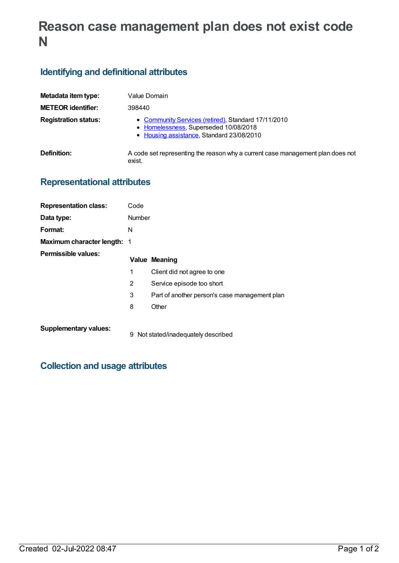# **Reason case management plan does not exist code N**

## **Identifying and definitional attributes**

| Metadata item type:         | Value Domain                                                                                                                              |
|-----------------------------|-------------------------------------------------------------------------------------------------------------------------------------------|
| <b>METEOR identifier:</b>   | 398440                                                                                                                                    |
| <b>Registration status:</b> | • Community Services (retired), Standard 17/11/2010<br>• Homelessness, Superseded 10/08/2018<br>• Housing assistance, Standard 23/08/2010 |
| Definition:                 | A code set representing the reason why a current case management plan does not<br>exist.                                                  |

### **Representational attributes**

| <b>Representation class:</b>       | Code          |                                               |
|------------------------------------|---------------|-----------------------------------------------|
| Data type:                         | <b>Number</b> |                                               |
| Format:                            | N             |                                               |
| <b>Maximum character length: 1</b> |               |                                               |
| Permissible values:                |               | <b>Value Meaning</b>                          |
|                                    | 1             | Client did not agree to one                   |
|                                    | 2             | Service episode too short                     |
|                                    | 3             | Part of another person's case management plan |
|                                    | 8             | Other                                         |
| <b>Supplementary values:</b>       |               | 9 Not stated/inadequately described           |

### **Collection and usage attributes**